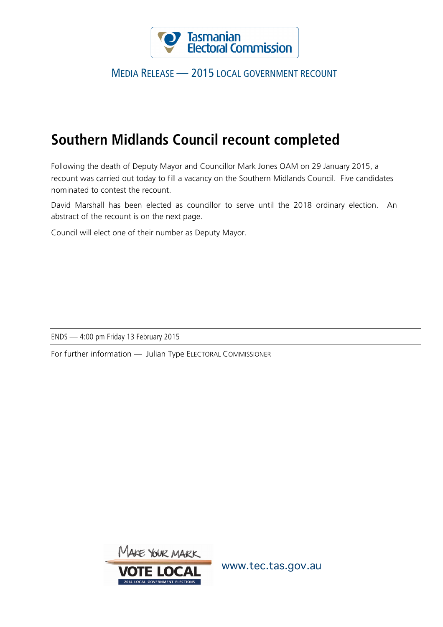

### MEDIA RELEASE — 2015 LOCAL GOVERNMENT RECOUNT

# **Southern Midlands Council recount completed**

Following the death of Deputy Mayor and Councillor Mark Jones OAM on 29 January 2015, a recount was carried out today to fill a vacancy on the Southern Midlands Council. Five candidates nominated to contest the recount.

David Marshall has been elected as councillor to serve until the 2018 ordinary election. An abstract of the recount is on the next page.

Council will elect one of their number as Deputy Mayor.

ENDS — 4:00 pm Friday 13 February 2015

For further information — Julian Type ELECTORAL COMMISSIONER



www.tec.tas.gov.au